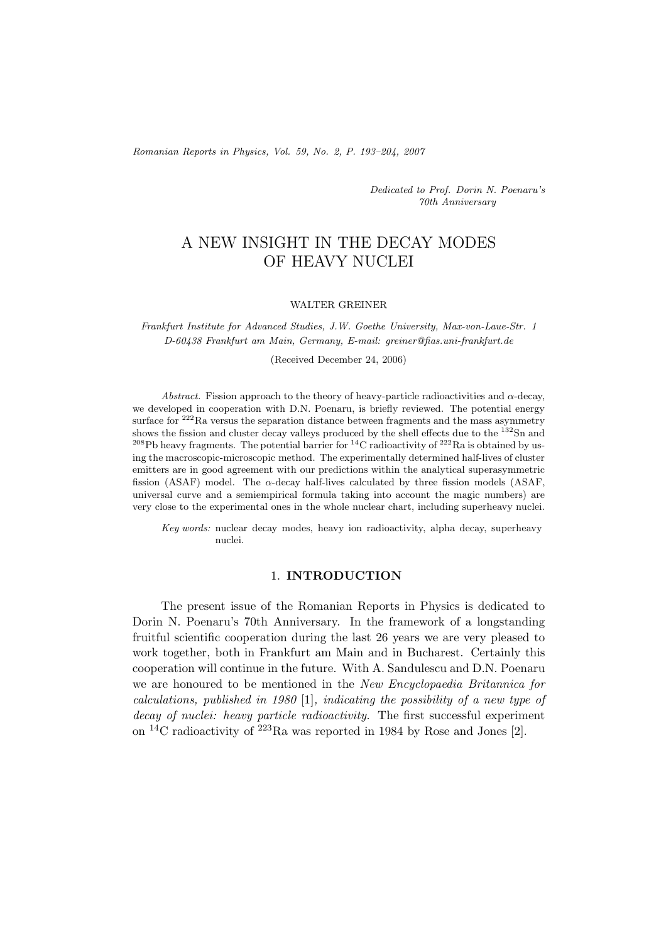*Romanian Reports in Physics, Vol. 59, No. 2, P. 193–204, 2007*

*Dedicated to Prof. Dorin N. Poenaru's 70th Anniversary*

# A NEW INSIGHT IN THE DECAY MODES OF HEAVY NUCLEI

#### WALTER GREINER

*Frankfurt Institute for Advanced Studies, J.W. Goethe University, Max-von-Laue-Str. 1 D-60438 Frankfurt am Main, Germany, E-mail: greiner@fias.uni-frankfurt.de*

(Received December 24, 2006)

*Abstract.* Fission approach to the theory of heavy-particle radioactivities and  $\alpha$ -decay, we developed in cooperation with D.N. Poenaru, is briefly reviewed. The potential energy surface for  $222$ Ra versus the separation distance between fragments and the mass asymmetry shows the fission and cluster decay valleys produced by the shell effects due to the  $^{132}Sn$  and <sup>208</sup>Pb heavy fragments. The potential barrier for <sup>14</sup>C radioactivity of <sup>222</sup>Ra is obtained by using the macroscopic-microscopic method. The experimentally determined half-lives of cluster emitters are in good agreement with our predictions within the analytical superasymmetric fission (ASAF) model. The  $\alpha$ -decay half-lives calculated by three fission models (ASAF, universal curve and a semiempirical formula taking into account the magic numbers) are very close to the experimental ones in the whole nuclear chart, including superheavy nuclei.

*Key words:* nuclear decay modes, heavy ion radioactivity, alpha decay, superheavy nuclei.

### 1. **INTRODUCTION**

The present issue of the Romanian Reports in Physics is dedicated to Dorin N. Poenaru's 70th Anniversary. In the framework of a longstanding fruitful scientific cooperation during the last 26 years we are very pleased to work together, both in Frankfurt am Main and in Bucharest. Certainly this cooperation will continue in the future. With A. Sandulescu and D.N. Poenaru we are honoured to be mentioned in the *New Encyclopaedia Britannica for calculations, published in 1980* [1]*, indicating the possibility of a new type of decay of nuclei: heavy particle radioactivity.* The first successful experiment on <sup>14</sup>C radioactivity of <sup>223</sup>Ra was reported in 1984 by Rose and Jones [2].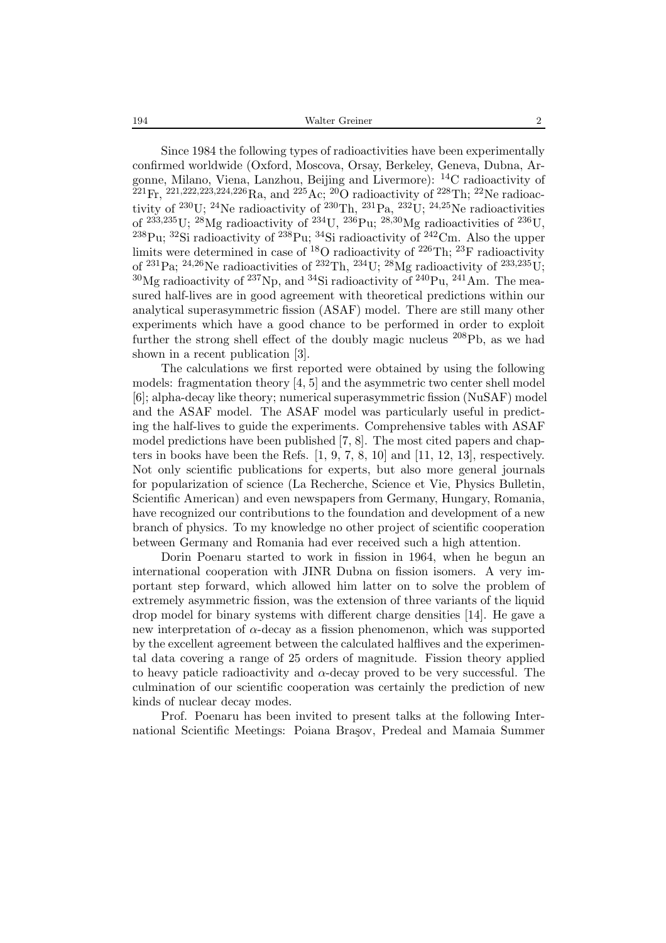194 Walter Greiner 2

Since 1984 the following types of radioactivities have been experimentally confirmed worldwide (Oxford, Moscova, Orsay, Berkeley, Geneva, Dubna, Argonne, Milano, Viena, Lanzhou, Beijing and Livermore): <sup>14</sup>C radioactivity of  $^{221}\text{Fr}$ ,  $^{221,222,223,224,226}\text{Ra}$ , and  $^{225}\text{Ac}$ ,  $^{20}\text{O}$  radioactivity of  $^{228}\text{Th}$ ;  $^{22}\text{Ne}$  radioactivity of  $^{230}$ U;  $^{24}$ Ne radioactivity of  $^{230}$ Th,  $^{231}$ Pa,  $^{232}$ U;  $^{24,25}$ Ne radioactivities of  $^{233,235}$ U;  $^{28}$ Mg radioactivity of  $^{234}$ U,  $^{236}$ Pu;  $^{28,30}$ Mg radioactivities of  $^{236}$ U, <sup>238</sup>Pu; <sup>32</sup>Si radioactivity of <sup>238</sup>Pu; <sup>34</sup>Si radioactivity of <sup>242</sup>Cm. Also the upper limits were determined in case of <sup>18</sup>O radioactivity of <sup>226</sup>Th; <sup>23</sup>F radioactivity of <sup>231</sup>Pa; <sup>24,26</sup>Ne radioactivities of <sup>232</sup>Th, <sup>234</sup>U; <sup>28</sup>Mg radioactivity of <sup>233,235</sup>U;  $30$ Mg radioactivity of  $237$ Np, and  $34$ Si radioactivity of  $240$ Pu,  $241$ Am. The measured half-lives are in good agreement with theoretical predictions within our analytical superasymmetric fission (ASAF) model. There are still many other experiments which have a good chance to be performed in order to exploit further the strong shell effect of the doubly magic nucleus  $^{208}Pb$ , as we had shown in a recent publication [3].

The calculations we first reported were obtained by using the following models: fragmentation theory  $[4, 5]$  and the asymmetric two center shell model [6]; alpha-decay like theory; numerical superasymmetric fission (NuSAF) model and the ASAF model. The ASAF model was particularly useful in predicting the half-lives to guide the experiments. Comprehensive tables with ASAF model predictions have been published [7, 8]. The most cited papers and chapters in books have been the Refs. [1, 9, 7, 8, 10] and [11, 12, 13], respectively. Not only scientific publications for experts, but also more general journals for popularization of science (La Recherche, Science et Vie, Physics Bulletin, Scientific American) and even newspapers from Germany, Hungary, Romania, have recognized our contributions to the foundation and development of a new branch of physics. To my knowledge no other project of scientific cooperation between Germany and Romania had ever received such a high attention.

Dorin Poenaru started to work in fission in 1964, when he begun an international cooperation with JINR Dubna on fission isomers. A very important step forward, which allowed him latter on to solve the problem of extremely asymmetric fission, was the extension of three variants of the liquid drop model for binary systems with different charge densities [14]. He gave a new interpretation of  $\alpha$ -decay as a fission phenomenon, which was supported by the excellent agreement between the calculated halflives and the experimental data covering a range of 25 orders of magnitude. Fission theory applied to heavy paticle radioactivity and  $\alpha$ -decay proved to be very successful. The culmination of our scientific cooperation was certainly the prediction of new kinds of nuclear decay modes.

Prof. Poenaru has been invited to present talks at the following International Scientific Meetings: Poiana Bra¸sov, Predeal and Mamaia Summer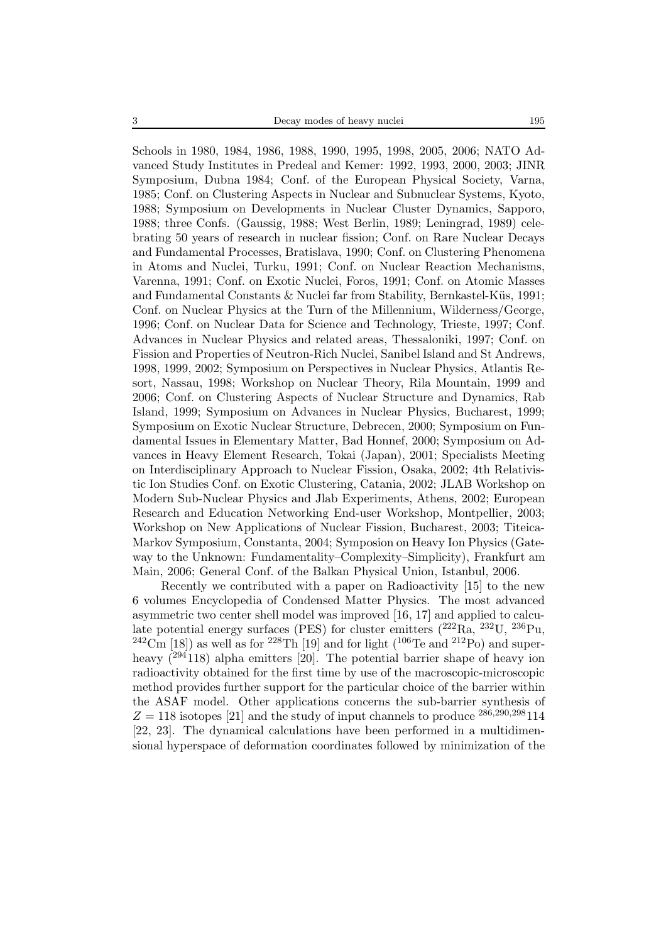Schools in 1980, 1984, 1986, 1988, 1990, 1995, 1998, 2005, 2006; NATO Advanced Study Institutes in Predeal and Kemer: 1992, 1993, 2000, 2003; JINR Symposium, Dubna 1984; Conf. of the European Physical Society, Varna, 1985; Conf. on Clustering Aspects in Nuclear and Subnuclear Systems, Kyoto, 1988; Symposium on Developments in Nuclear Cluster Dynamics, Sapporo, 1988; three Confs. (Gaussig, 1988; West Berlin, 1989; Leningrad, 1989) celebrating 50 years of research in nuclear fission; Conf. on Rare Nuclear Decays and Fundamental Processes, Bratislava, 1990; Conf. on Clustering Phenomena in Atoms and Nuclei, Turku, 1991; Conf. on Nuclear Reaction Mechanisms, Varenna, 1991; Conf. on Exotic Nuclei, Foros, 1991; Conf. on Atomic Masses and Fundamental Constants  $&$  Nuclei far from Stability, Bernkastel-Küs, 1991; Conf. on Nuclear Physics at the Turn of the Millennium, Wilderness/George, 1996; Conf. on Nuclear Data for Science and Technology, Trieste, 1997; Conf. Advances in Nuclear Physics and related areas, Thessaloniki, 1997; Conf. on Fission and Properties of Neutron-Rich Nuclei, Sanibel Island and St Andrews, 1998, 1999, 2002; Symposium on Perspectives in Nuclear Physics, Atlantis Resort, Nassau, 1998; Workshop on Nuclear Theory, Rila Mountain, 1999 and 2006; Conf. on Clustering Aspects of Nuclear Structure and Dynamics, Rab Island, 1999; Symposium on Advances in Nuclear Physics, Bucharest, 1999; Symposium on Exotic Nuclear Structure, Debrecen, 2000; Symposium on Fundamental Issues in Elementary Matter, Bad Honnef, 2000; Symposium on Advances in Heavy Element Research, Tokai (Japan), 2001; Specialists Meeting on Interdisciplinary Approach to Nuclear Fission, Osaka, 2002; 4th Relativistic Ion Studies Conf. on Exotic Clustering, Catania, 2002; JLAB Workshop on Modern Sub-Nuclear Physics and Jlab Experiments, Athens, 2002; European Research and Education Networking End-user Workshop, Montpellier, 2003; Workshop on New Applications of Nuclear Fission, Bucharest, 2003; Titeica-Markov Symposium, Constanta, 2004; Symposion on Heavy Ion Physics (Gateway to the Unknown: Fundamentality–Complexity–Simplicity), Frankfurt am Main, 2006; General Conf. of the Balkan Physical Union, Istanbul, 2006.

Recently we contributed with a paper on Radioactivity [15] to the new 6 volumes Encyclopedia of Condensed Matter Physics. The most advanced asymmetric two center shell model was improved [16, 17] and applied to calculate potential energy surfaces (PES) for cluster emitters  $(^{222}\text{Ra},~^{232}\text{U},~^{236}\text{Pu},$ <sup>242</sup>Cm [18]) as well as for <sup>228</sup>Th [19] and for light (<sup>106</sup>Te and <sup>212</sup>Po) and superheavy  $(^{294}118)$  alpha emitters [20]. The potential barrier shape of heavy ion radioactivity obtained for the first time by use of the macroscopic-microscopic method provides further support for the particular choice of the barrier within the ASAF model. Other applications concerns the sub-barrier synthesis of  $Z = 118$  isotopes [21] and the study of input channels to produce  $^{286,290,298}$  114 [22, 23]. The dynamical calculations have been performed in a multidimensional hyperspace of deformation coordinates followed by minimization of the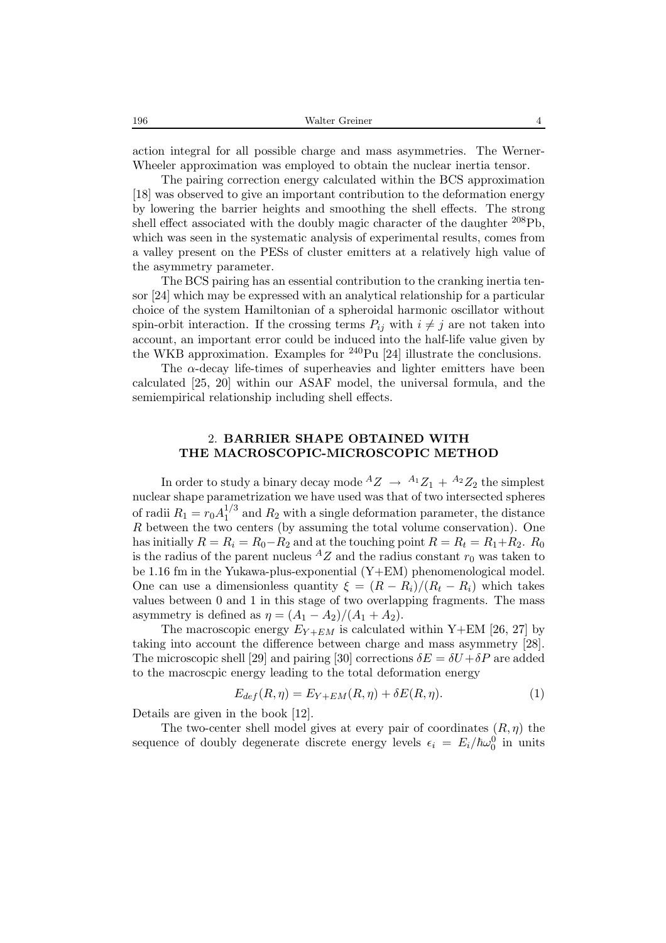action integral for all possible charge and mass asymmetries. The Werner-Wheeler approximation was employed to obtain the nuclear inertia tensor.

The pairing correction energy calculated within the BCS approximation [18] was observed to give an important contribution to the deformation energy by lowering the barrier heights and smoothing the shell effects. The strong shell effect associated with the doubly magic character of the daughter <sup>208</sup>Pb, which was seen in the systematic analysis of experimental results, comes from a valley present on the PESs of cluster emitters at a relatively high value of the asymmetry parameter.

The BCS pairing has an essential contribution to the cranking inertia tensor [24] which may be expressed with an analytical relationship for a particular choice of the system Hamiltonian of a spheroidal harmonic oscillator without spin-orbit interaction. If the crossing terms  $P_{ij}$  with  $i \neq j$  are not taken into account, an important error could be induced into the half-life value given by the WKB approximation. Examples for  $^{240}$ Pu [24] illustrate the conclusions.

The  $\alpha$ -decay life-times of superheavies and lighter emitters have been calculated [25, 20] within our ASAF model, the universal formula, and the semiempirical relationship including shell effects.

## 2. **BARRIER SHAPE OBTAINED WITH THE MACROSCOPIC-MICROSCOPIC METHOD**

In order to study a binary decay mode  ${}^AZ \rightarrow {}^{A_1}Z_1 + {}^{A_2}Z_2$  the simplest nuclear shape parametrization we have used was that of two intersected spheres of radii  $R_1 = r_0 A_1^{1/3}$  and  $R_2$  with a single deformation parameter, the distance  $R$  between the two centers (by assuming the total volume conservation). One  $R$  between the two centers (by assuming the total volume conservation). One has initially  $R = R_i = R_0 - R_2$  and at the touching point  $R = R_t = R_1 + R_2$ .  $R_0$ is the radius of the parent nucleus  ${}^AZ$  and the radius constant  $r_0$  was taken to be 1.16 fm in the Yukawa-plus-exponential (Y+EM) phenomenological model. One can use a dimensionless quantity  $\xi = (R - R_i)/(R_t - R_i)$  which takes values between 0 and 1 in this stage of two overlapping fragments. The mass asymmetry is defined as  $\eta = (A_1 - A_2)/(A_1 + A_2)$ .

The macroscopic energy  $E_{Y+EM}$  is calculated within Y+EM [26, 27] by taking into account the difference between charge and mass asymmetry [28]. The microscopic shell [29] and pairing [30] corrections  $\delta E = \delta U + \delta P$  are added to the macroscpic energy leading to the total deformation energy

$$
E_{def}(R,\eta) = E_{Y+EM}(R,\eta) + \delta E(R,\eta). \tag{1}
$$

Details are given in the book [12].

The two-center shell model gives at every pair of coordinates  $(R, \eta)$  the sequence of doubly degenerate discrete energy levels  $\epsilon_i = E_i/\hbar\omega_0^0$  in units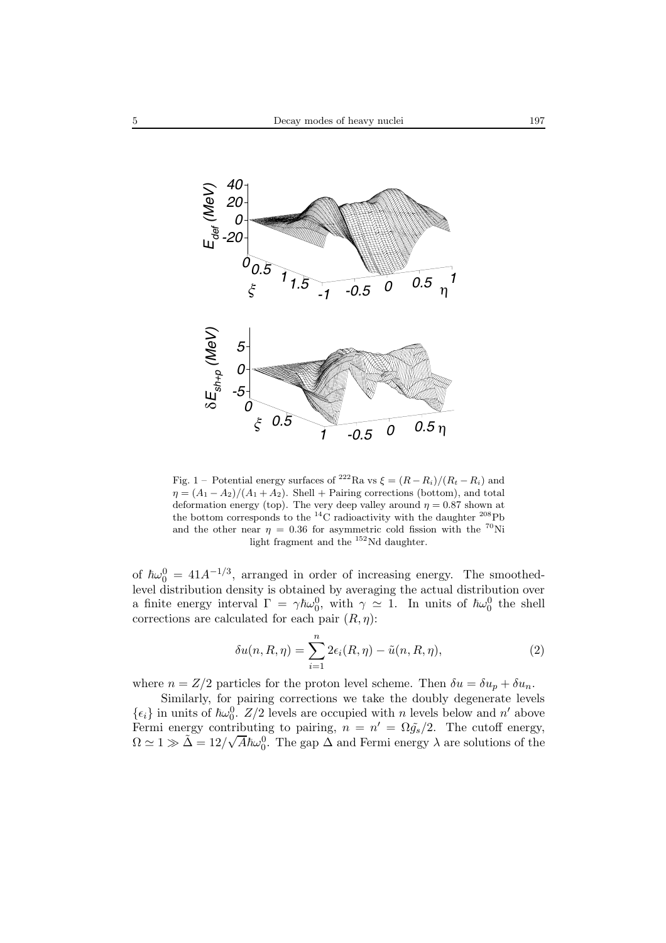

Fig. 1 – Potential energy surfaces of <sup>222</sup>Ra vs  $\xi = (R - R_i)/(R_t - R_i)$  and  $\eta = (A_1 - A_2)/(A_1 + A_2)$ . Shell + Pairing corrections (bottom), and total deformation energy (top). The very deep valley around  $\eta = 0.87$  shown at the bottom corresponds to the <sup>14</sup>C radioactivity with the daughter <sup>208</sup>Pb and the other near  $\eta = 0.36$  for asymmetric cold fission with the <sup>70</sup>Ni light fragment and the <sup>152</sup>Nd daughter.

of  $\hbar\omega_0^0 = 41A^{-1/3}$ , arranged in order of increasing energy. The smoothed-<br>level distribution density is obtained by averaging the actual distribution over level distribution density is obtained by averaging the actual distribution over a finite energy interval  $\Gamma = \gamma \hbar \omega_0^0$ , with  $\gamma \simeq 1$ . In units of  $\hbar \omega_0^0$  the shell<br>corrections are calculated for each pair  $(R_n)$ . corrections are calculated for each pair  $(R, \eta)$ :

$$
\delta u(n, R, \eta) = \sum_{i=1}^{n} 2\epsilon_i(R, \eta) - \tilde{u}(n, R, \eta), \qquad (2)
$$

where  $n = Z/2$  particles for the proton level scheme. Then  $\delta u = \delta u_p + \delta u_n$ .

Similarly, for pairing corrections we take the doubly degenerate levels  $\{\epsilon_i\}$  in units of  $\hbar \omega_0^0$ .  $Z/2$  levels are occupied with n levels below and n' above<br>Fermi energy contributing to pairing  $n = n' - \Omega \tilde{a}/2$ . The cutoff energy Fermi energy contributing to pairing,  $n = n' = \Omega \tilde{g}_s/2$ . The cutoff energy,  $\Omega \approx 1 \gg \tilde{\Lambda} = 12/\sqrt{4\kappa}$ , <sup>0</sup>. The gap  $\Lambda$  and Fermi energy,  $\lambda$  are solutions of the  $\Omega \simeq 1 \gg \tilde{\Delta} = 12/\sqrt{A} \hbar \omega_0^0$ . The gap  $\Delta$  and Fermi energy  $\lambda$  are solutions of the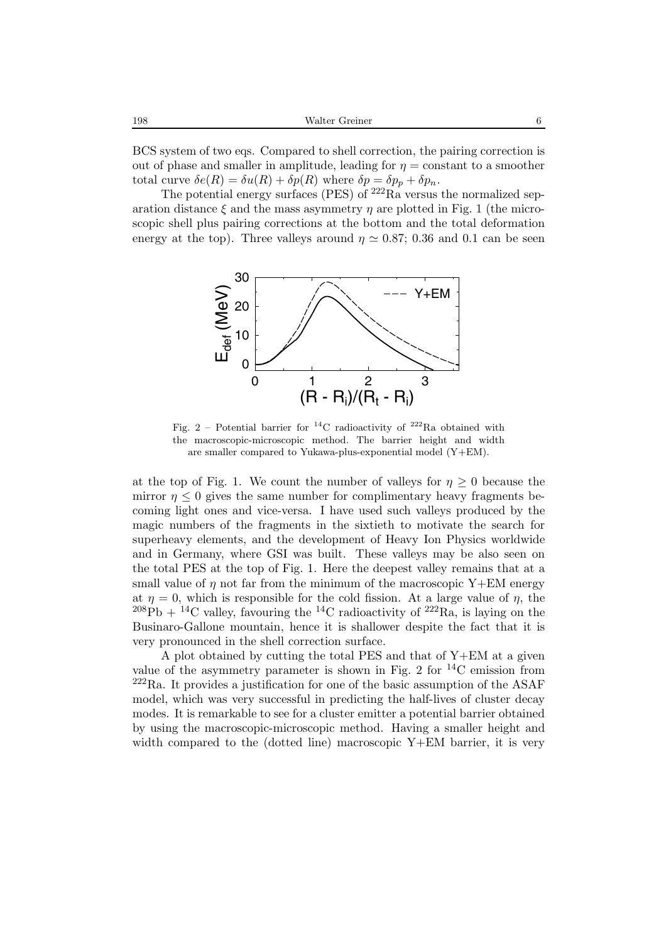| 198 | Walter Greiner |  |
|-----|----------------|--|
|     |                |  |

BCS system of two eqs. Compared to shell correction, the pairing correction is out of phase and smaller in amplitude, leading for  $\eta =$  constant to a smoother total curve  $\delta e(R) = \delta u(R) + \delta p(R)$  where  $\delta p = \delta p_p + \delta p_n$ .

The potential energy surfaces (PES) of  $^{222}$ Ra versus the normalized separation distance  $\xi$  and the mass asymmetry  $\eta$  are plotted in Fig. 1 (the microscopic shell plus pairing corrections at the bottom and the total deformation energy at the top). Three valleys around  $\eta \simeq 0.87$ ; 0.36 and 0.1 can be seen



Fig. 2 – Potential barrier for <sup>14</sup>C radioactivity of <sup>222</sup>Ra obtained with the macroscopic-microscopic method. The barrier height and width are smaller compared to Yukawa-plus-exponential model (Y+EM).

at the top of Fig. 1. We count the number of valleys for  $\eta \geq 0$  because the mirror  $\eta \leq 0$  gives the same number for complimentary heavy fragments becoming light ones and vice-versa. I have used such valleys produced by the magic numbers of the fragments in the sixtieth to motivate the search for superheavy elements, and the development of Heavy Ion Physics worldwide and in Germany, where GSI was built. These valleys may be also seen on the total PES at the top of Fig. 1. Here the deepest valley remains that at a small value of  $\eta$  not far from the minimum of the macroscopic Y+EM energy at  $\eta = 0$ , which is responsible for the cold fission. At a large value of  $\eta$ , the  $^{208}\text{Pb} + ^{14}\text{C}$  valley, favouring the  $^{14}\text{C}$  radioactivity of  $^{222}\text{Ra}$ , is laying on the Businaro-Gallone mountain, hence it is shallower despite the fact that it is very pronounced in the shell correction surface.

A plot obtained by cutting the total PES and that of Y+EM at a given value of the asymmetry parameter is shown in Fig. 2 for  $^{14}$ C emission from  $222$ Ra. It provides a justification for one of the basic assumption of the ASAF model, which was very successful in predicting the half-lives of cluster decay modes. It is remarkable to see for a cluster emitter a potential barrier obtained by using the macroscopic-microscopic method. Having a smaller height and width compared to the (dotted line) macroscopic Y+EM barrier, it is very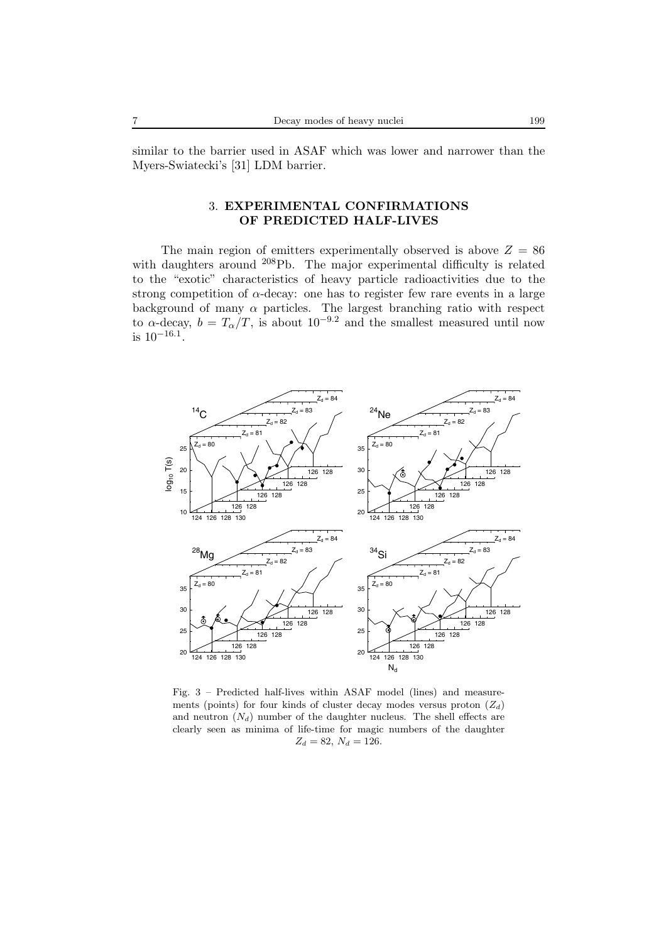similar to the barrier used in ASAF which was lower and narrower than the Myers-Swiatecki's [31] LDM barrier.

# 3. **EXPERIMENTAL CONFIRMATIONS OF PREDICTED HALF-LIVES**

The main region of emitters experimentally observed is above  $Z = 86$ with daughters around <sup>208</sup>Pb. The major experimental difficulty is related to the "exotic" characteristics of heavy particle radioactivities due to the strong competition of  $\alpha$ -decay: one has to register few rare events in a large background of many  $\alpha$  particles. The largest branching ratio with respect to  $\alpha$ -decay,  $b = T_{\alpha}/T$ , is about 10<sup>-9.2</sup> and the smallest measured until now is  $10^{-16.1}$ .



Fig. 3 – Predicted half-lives within ASAF model (lines) and measurements (points) for four kinds of cluster decay modes versus proton  $(Z_d)$ and neutron  $(N_d)$  number of the daughter nucleus. The shell effects are clearly seen as minima of life-time for magic numbers of the daughter  $Z_d = 82, N_d = 126.$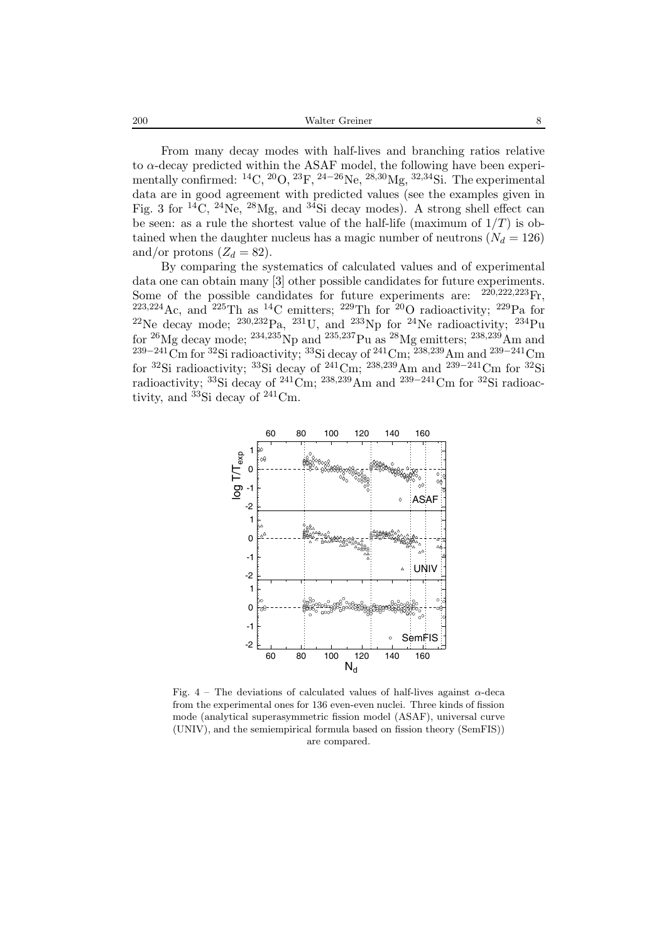200 Walter Greiner 8

From many decay modes with half-lives and branching ratios relative to  $\alpha$ -decay predicted within the ASAF model, the following have been experimentally confirmed:  ${}^{14}C, {}^{20}O, {}^{23}F, {}^{24-26}Ne, {}^{28,30}Mg, {}^{32,34}Si$ . The experimental data are in good agreement with predicted values (see the examples given in Fig. 3 for <sup>14</sup>C, <sup>24</sup>Ne, <sup>28</sup>Mg, and <sup>34</sup>Si decay modes). A strong shell effect can be seen: as a rule the shortest value of the half-life (maximum of  $1/T$ ) is obtained when the daughter nucleus has a magic number of neutrons  $(N_d = 126)$ and/or protons  $(Z_d = 82)$ .

By comparing the systematics of calculated values and of experimental data one can obtain many [3] other possible candidates for future experiments. Some of the possible candidates for future experiments are:  $^{220,222,223}$ Fr,  $^{223,224}$ Ac, and  $^{225}$ Th as  $^{14}$ C emitters;  $^{229}$ Th for  $^{20}$ O radioactivity;  $^{229}$ Pa for <sup>22</sup>Ne decay mode; <sup>230,232</sup>Pa, <sup>231</sup>U, and <sup>233</sup>Np for <sup>24</sup>Ne radioactivity; <sup>234</sup>Pu for <sup>26</sup>Mg decay mode; <sup>234,235</sup>Np and <sup>235,237</sup>Pu as <sup>28</sup>Mg emitters; <sup>238,239</sup>Am and  $^{239-241}$ Cm for  $^{32}$ Si radioactivity;  $^{33}$ Si decay of  $^{241}$ Cm;  $^{238,239}$ Am and  $^{239-241}$ Cm for <sup>32</sup>Si radioactivity; <sup>33</sup>Si decay of <sup>241</sup>Cm; <sup>238,239</sup>Am and <sup>239–241</sup>Cm for <sup>32</sup>Si radioactivity; <sup>33</sup>Si decay of <sup>241</sup>Cm; <sup>238,239</sup>Am and <sup>239–241</sup>Cm for <sup>32</sup>Si radioactivity, and  ${}^{33}$ Si decay of  ${}^{241}$ Cm.



Fig.  $4$  – The deviations of calculated values of half-lives against  $\alpha$ -deca from the experimental ones for 136 even-even nuclei. Three kinds of fission mode (analytical superasymmetric fission model (ASAF), universal curve (UNIV), and the semiempirical formula based on fission theory (SemFIS)) are compared.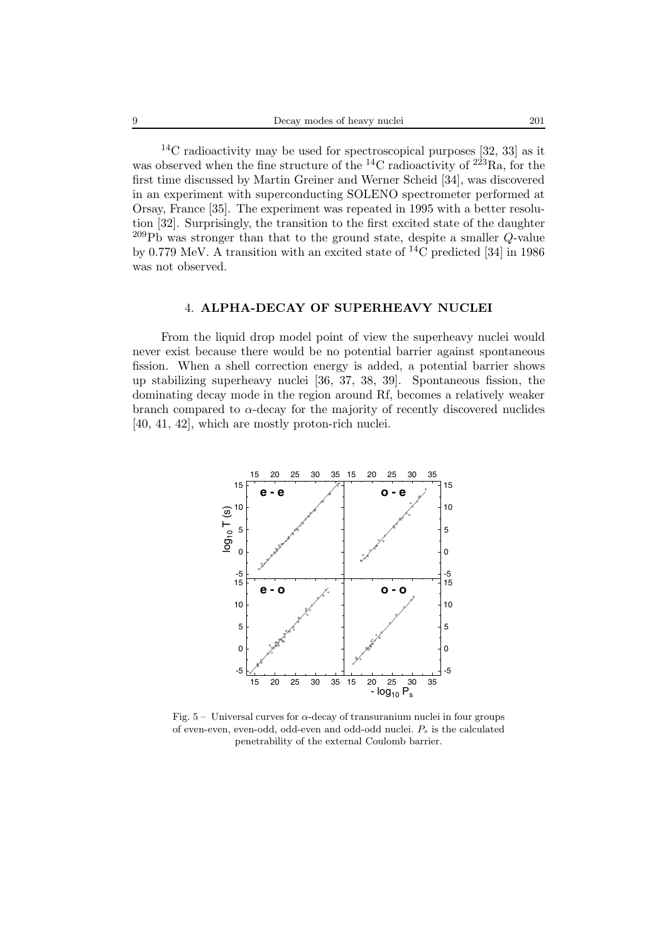$14C$  radioactivity may be used for spectroscopical purposes [32, 33] as it was observed when the fine structure of the  ${}^{14}$ C radioactivity of  $2^{23}$ Ra, for the first time discussed by Martin Greiner and Werner Scheid [34], was discovered in an experiment with superconducting SOLENO spectrometer performed at Orsay, France [35]. The experiment was repeated in 1995 with a better resolution [32]. Surprisingly, the transition to the first excited state of the daughter  $^{209}Pb$  was stronger than that to the ground state, despite a smaller Q-value by 0.779 MeV. A transition with an excited state of <sup>14</sup>C predicted [34] in 1986 was not observed.

### 4. **ALPHA-DECAY OF SUPERHEAVY NUCLEI**

From the liquid drop model point of view the superheavy nuclei would never exist because there would be no potential barrier against spontaneous fission. When a shell correction energy is added, a potential barrier shows up stabilizing superheavy nuclei [36, 37, 38, 39]. Spontaneous fission, the dominating decay mode in the region around Rf, becomes a relatively weaker branch compared to  $\alpha$ -decay for the majority of recently discovered nuclides [40, 41, 42], which are mostly proton-rich nuclei.



Fig.  $5 -$  Universal curves for  $\alpha$ -decay of transuranium nuclei in four groups of even-even, even-odd, odd-even and odd-odd nuclei. P*<sup>s</sup>* is the calculated penetrability of the external Coulomb barrier.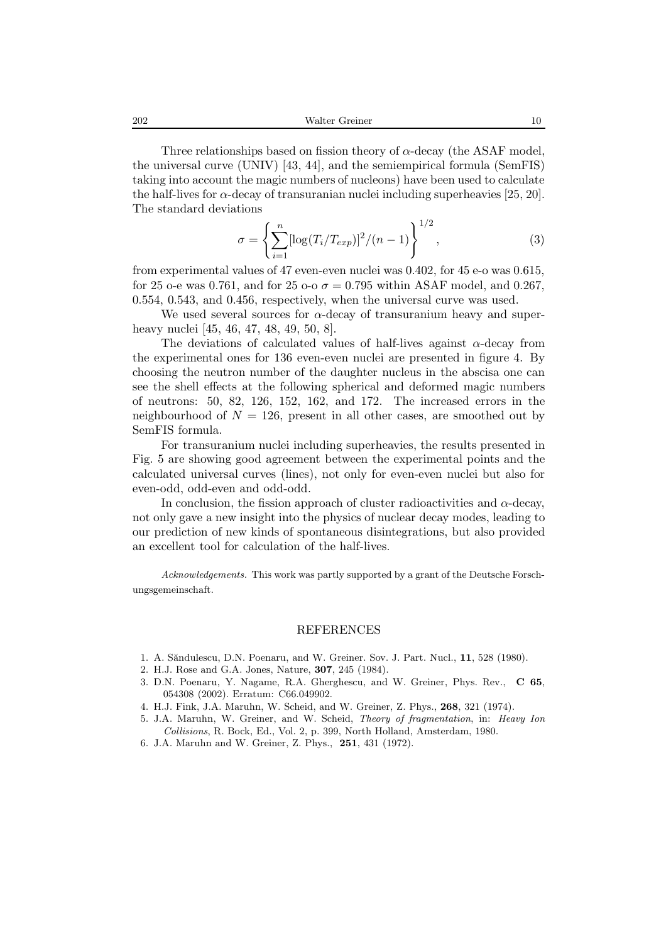Three relationships based on fission theory of  $\alpha$ -decay (the ASAF model, the universal curve (UNIV) [43, 44], and the semiempirical formula (SemFIS) taking into account the magic numbers of nucleons) have been used to calculate the half-lives for  $\alpha$ -decay of transuranian nuclei including superheavies [25, 20]. The standard deviations

$$
\sigma = \left\{ \sum_{i=1}^{n} \left[ \log(T_i/T_{exp}) \right]^2 / (n-1) \right\}^{1/2},\tag{3}
$$

from experimental values of 47 even-even nuclei was 0.402, for 45 e-o was 0.615, for 25 o-e was 0.761, and for 25 o-o  $\sigma = 0.795$  within ASAF model, and 0.267, 0.554, 0.543, and 0.456, respectively, when the universal curve was used.

We used several sources for  $\alpha$ -decay of transuranium heavy and superheavy nuclei [45, 46, 47, 48, 49, 50, 8].

The deviations of calculated values of half-lives against  $\alpha$ -decay from the experimental ones for 136 even-even nuclei are presented in figure 4. By choosing the neutron number of the daughter nucleus in the abscisa one can see the shell effects at the following spherical and deformed magic numbers of neutrons: 50, 82, 126, 152, 162, and 172. The increased errors in the neighbourhood of  $N = 126$ , present in all other cases, are smoothed out by SemFIS formula.

For transuranium nuclei including superheavies, the results presented in Fig. 5 are showing good agreement between the experimental points and the calculated universal curves (lines), not only for even-even nuclei but also for even-odd, odd-even and odd-odd.

In conclusion, the fission approach of cluster radioactivities and  $\alpha$ -decay, not only gave a new insight into the physics of nuclear decay modes, leading to our prediction of new kinds of spontaneous disintegrations, but also provided an excellent tool for calculation of the half-lives.

*Acknowledgements.* This work was partly supported by a grant of the Deutsche Forschungsgemeinschaft.

#### REFERENCES

- 1. A. S˘andulescu, D.N. Poenaru, and W. Greiner. Sov. J. Part. Nucl., **11**, 528 (1980).
- 2. H.J. Rose and G.A. Jones, Nature, **307**, 245 (1984).
- 3. D.N. Poenaru, Y. Nagame, R.A. Gherghescu, and W. Greiner, Phys. Rev., **C 65**, 054308 (2002). Erratum: C66.049902.
- 4. H.J. Fink, J.A. Maruhn, W. Scheid, and W. Greiner, Z. Phys., **268**, 321 (1974).
- 5. J.A. Maruhn, W. Greiner, and W. Scheid, *Theory of fragmentation*, in: *Heavy Ion Collisions*, R. Bock, Ed., Vol. 2, p. 399, North Holland, Amsterdam, 1980.
- 6. J.A. Maruhn and W. Greiner, Z. Phys., **251**, 431 (1972).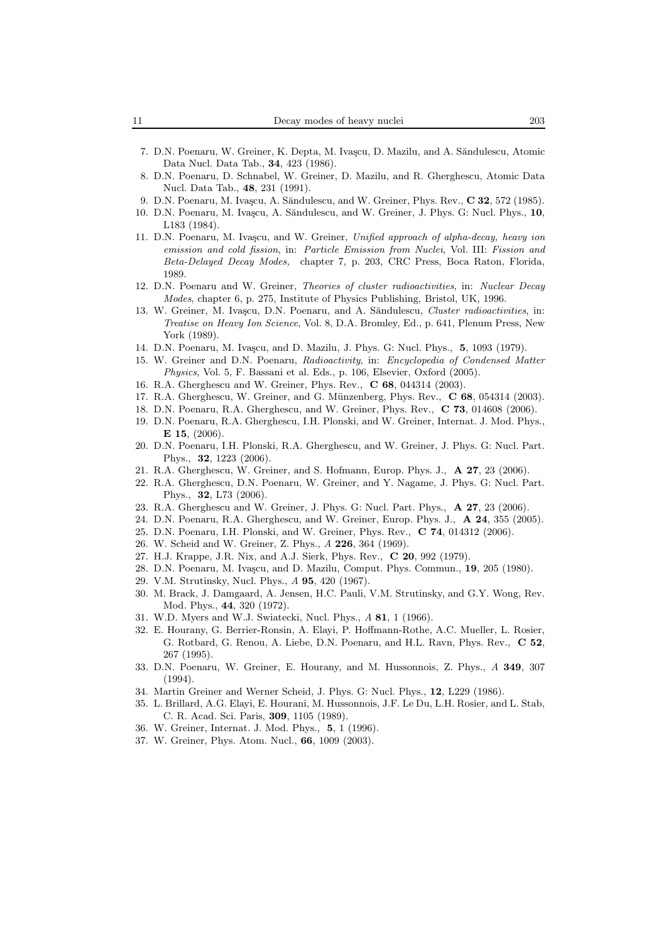- 7. D.N. Poenaru, W. Greiner, K. Depta, M. Ivascu, D. Mazilu, and A. Săndulescu, Atomic Data Nucl. Data Tab., **34**, 423 (1986).
- 8. D.N. Poenaru, D. Schnabel, W. Greiner, D. Mazilu, and R. Gherghescu, Atomic Data Nucl. Data Tab., **48**, 231 (1991).
- 9. D.N. Poenaru, M. Ivașcu, A. Săndulescu, and W. Greiner, Phys. Rev., **C 32**, 572 (1985).
- 10. D.N. Poenaru, M. Ivașcu, A. Săndulescu, and W. Greiner, J. Phys. G: Nucl. Phys., 10, L183 (1984).
- 11. D.N. Poenaru, M. Iva¸scu, and W. Greiner, *Unified approach of alpha-decay, heavy ion emission and cold fission*, in: *Particle Emission from Nuclei*, Vol. III: *Fission and Beta-Delayed Decay Modes,* chapter 7, p. 203, CRC Press, Boca Raton, Florida, 1989.
- 12. D.N. Poenaru and W. Greiner, *Theories of cluster radioactivities*, in: *Nuclear Decay Modes*, chapter 6, p. 275, Institute of Physics Publishing, Bristol, UK, 1996.
- 13. W. Greiner, M. Ivașcu, D.N. Poenaru, and A. Săndulescu, *Cluster radioactivities*, in: *Treatise on Heavy Ion Science*, Vol. 8, D.A. Bromley, Ed., p. 641, Plenum Press, New York (1989).
- 14. D.N. Poenaru, M. Ivașcu, and D. Mazilu, J. Phys. G: Nucl. Phys., 5, 1093 (1979).
- 15. W. Greiner and D.N. Poenaru, *Radioactivity*, in: *Encyclopedia of Condensed Matter Physics*, Vol. 5, F. Bassani et al. Eds., p. 106, Elsevier, Oxford (2005).
- 16. R.A. Gherghescu and W. Greiner, Phys. Rev., **C 68**, 044314 (2003).
- 17. R.A. Gherghescu, W. Greiner, and G. Münzenberg, Phys. Rev., C 68, 054314 (2003).
- 18. D.N. Poenaru, R.A. Gherghescu, and W. Greiner, Phys. Rev., **C 73**, 014608 (2006).
- 19. D.N. Poenaru, R.A. Gherghescu, I.H. Plonski, and W. Greiner, Internat. J. Mod. Phys., **E 15**, (2006).
- 20. D.N. Poenaru, I.H. Plonski, R.A. Gherghescu, and W. Greiner, J. Phys. G: Nucl. Part. Phys., **32**, 1223 (2006).
- 21. R.A. Gherghescu, W. Greiner, and S. Hofmann, Europ. Phys. J., **A 27**, 23 (2006).
- 22. R.A. Gherghescu, D.N. Poenaru, W. Greiner, and Y. Nagame, J. Phys. G: Nucl. Part. Phys., **32**, L73 (2006).
- 23. R.A. Gherghescu and W. Greiner, J. Phys. G: Nucl. Part. Phys., **A 27**, 23 (2006).
- 24. D.N. Poenaru, R.A. Gherghescu, and W. Greiner, Europ. Phys. J., **A 24**, 355 (2005).
- 25. D.N. Poenaru, I.H. Plonski, and W. Greiner, Phys. Rev., **C 74**, 014312 (2006).
- 26. W. Scheid and W. Greiner, Z. Phys., *A* **226**, 364 (1969).
- 27. H.J. Krappe, J.R. Nix, and A.J. Sierk, Phys. Rev., **C 20**, 992 (1979).
- 28. D.N. Poenaru, M. Ivașcu, and D. Mazilu, Comput. Phys. Commun., **19**, 205 (1980).
- 29. V.M. Strutinsky, Nucl. Phys., *A* **95**, 420 (1967).
- 30. M. Brack, J. Damgaard, A. Jensen, H.C. Pauli, V.M. Strutinsky, and G.Y. Wong, Rev. Mod. Phys., **44**, 320 (1972).
- 31. W.D. Myers and W.J. Swiatecki, Nucl. Phys., *A* **81**, 1 (1966).
- 32. E. Hourany, G. Berrier-Ronsin, A. Elayi, P. Hoffmann-Rothe, A.C. Mueller, L. Rosier, G. Rotbard, G. Renou, A. Liebe, D.N. Poenaru, and H.L. Ravn, Phys. Rev., **C 52**, 267 (1995).
- 33. D.N. Poenaru, W. Greiner, E. Hourany, and M. Hussonnois, Z. Phys., *A* **349**, 307 (1994).
- 34. Martin Greiner and Werner Scheid, J. Phys. G: Nucl. Phys., **12**, L229 (1986).
- 35. L. Brillard, A.G. Elayi, E. Hourani, M. Hussonnois, J.F. Le Du, L.H. Rosier, and L. Stab, C. R. Acad. Sci. Paris, **309**, 1105 (1989).
- 36. W. Greiner, Internat. J. Mod. Phys., **5**, 1 (1996).
- 37. W. Greiner, Phys. Atom. Nucl., **66**, 1009 (2003).